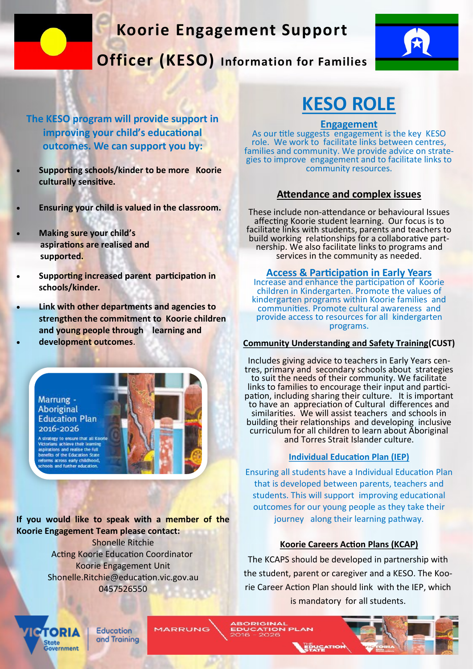## **Koorie Engagement Support**

**Officer (KESO) Information for Families**



**The KESO program will provide support in improving your child's educational outcomes. We can support you by:**

- **Supporting schools/kinder to be more Koorie culturally sensitive.**
- **Ensuring your child is valued in the classroom.**
- **Making sure your child's aspirations are realised and supported.**
- **Supporting increased parent participation in schools/kinder.**
- **Link with other departments and agencies to strengthen the commitment to Koorie children and young people through learning and**  • **development outcomes**.



**If you would like to speak with a member of the Koorie Engagement Team please contact:** 

Shonelle Ritchie Acting Koorie Education Coordinator Koorie Engagement Unit Shonelle.Ritchie@education.vic.gov.au 0457526550

# **KESO ROLE**

#### **Engagement**

As our title suggests engagement is the key KESO role. We work to facilitate links between centres, families and community. We provide advice on strategies to improve engagement and to facilitate links to community resources.

### **Attendance and complex issues**

These include non-attendance or behavioural Issues affecting Koorie student learning. Our focus is to facilitate links with students, parents and teachers to build working relationships for a collaborative partnership. We also facilitate links to programs and services in the community as needed.

**Access & Participation in Early Years** 

Increase and enhance the participation of Koorie children in Kindergarten. Promote the values of kindergarten programs within Koorie families and communities. Promote cultural awareness and provide access to resources for all kindergarten programs.

#### **Community Understanding and Safety Training(CUST)**

Includes giving advice to teachers in Early Years centres, primary and secondary schools about strategies to suit the needs of their community. We facilitate links to families to encourage their input and participation, including sharing their culture. It is important to have an appreciation of Cultural differences and similarities. We will assist teachers and schools in building their relationships and developing inclusive curriculum for all children to learn about Aboriginal and Torres Strait Islander culture.

### **Individual Education Plan (IEP)**

Ensuring all students have a Individual Education Plan that is developed between parents, teachers and students. This will support improving educational outcomes for our young people as they take their journey along their learning pathway.

#### **Koorie Careers Action Plans (KCAP)**

The KCAPS should be developed in partnership with the student, parent or caregiver and a KESO. The Koorie Career Action Plan should link with the IEP, which is mandatory for all students.

**ROPIGINAL** 

anne